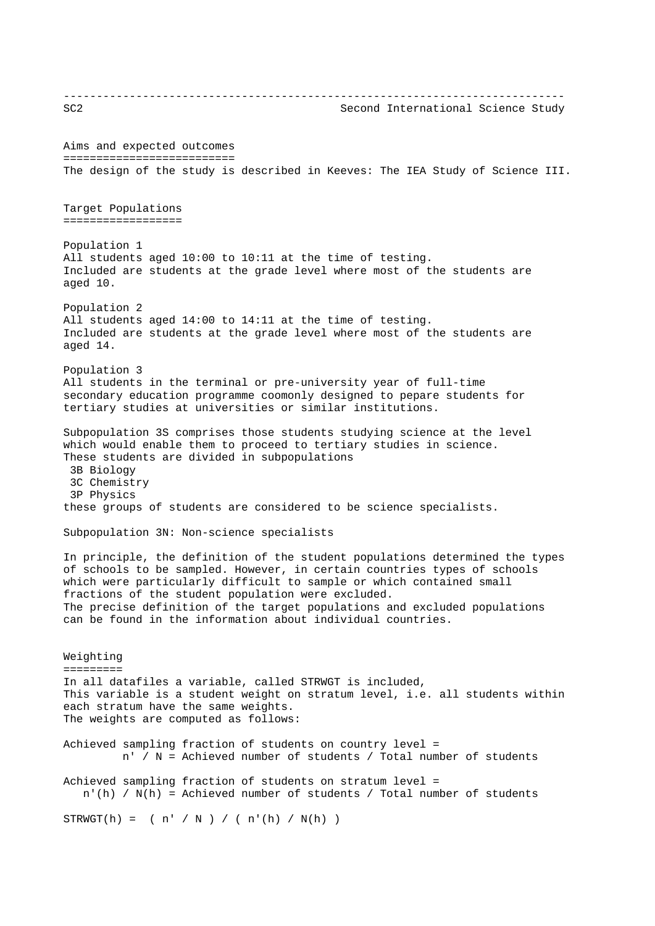---------------------------------------------------------------------------- SC2 Second International Science Study Aims and expected outcomes ========================== The design of the study is described in Keeves: The IEA Study of Science III. Target Populations ================== Population 1 All students aged 10:00 to 10:11 at the time of testing. Included are students at the grade level where most of the students are aged 10. Population 2 All students aged 14:00 to 14:11 at the time of testing. Included are students at the grade level where most of the students are aged 14. Population 3 All students in the terminal or pre-university year of full-time secondary education programme coomonly designed to pepare students for tertiary studies at universities or similar institutions. Subpopulation 3S comprises those students studying science at the level which would enable them to proceed to tertiary studies in science. These students are divided in subpopulations 3B Biology 3C Chemistry 3P Physics these groups of students are considered to be science specialists. Subpopulation 3N: Non-science specialists In principle, the definition of the student populations determined the types of schools to be sampled. However, in certain countries types of schools which were particularly difficult to sample or which contained small fractions of the student population were excluded. The precise definition of the target populations and excluded populations can be found in the information about individual countries. Weighting ========= In all datafiles a variable, called STRWGT is included, This variable is a student weight on stratum level, i.e. all students within each stratum have the same weights. The weights are computed as follows: Achieved sampling fraction of students on country level = n' / N = Achieved number of students / Total number of students Achieved sampling fraction of students on stratum level = n'(h) / N(h) = Achieved number of students / Total number of students  $STRWGT(h) = ( n' / N ) / ( n'(h) / N(h) )$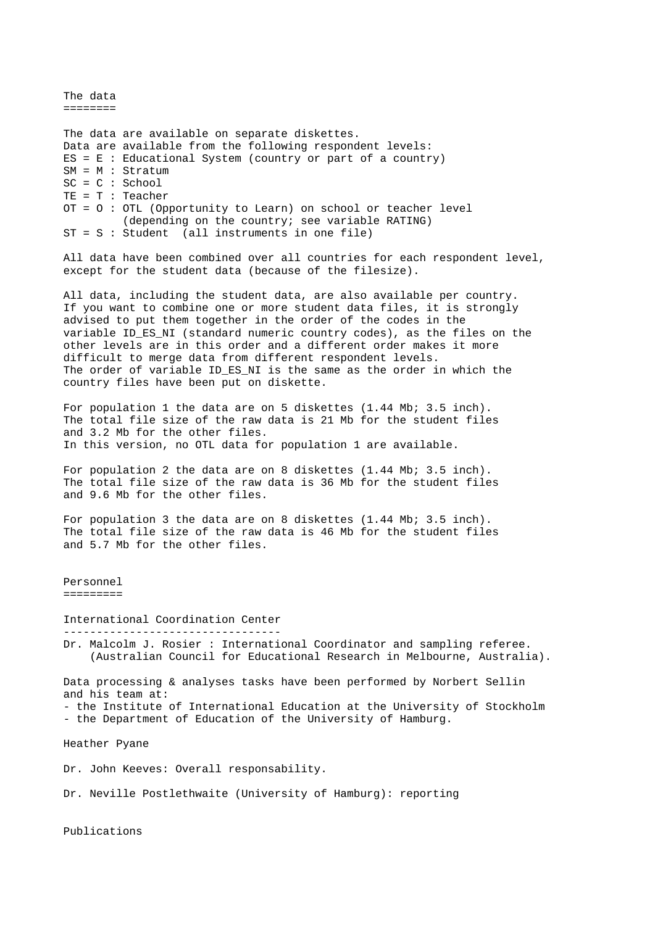--------------------------------- The data ======== The data are available on separate diskettes. Data are available from the following respondent levels:  $ES = E$  : Educational System (country or part of a country) SM = M : Stratum SC = C : School TE = T : Teacher OT = O : OTL (Opportunity to Learn) on school or teacher level (depending on the country; see variable RATING) ST = S : Student (all instruments in one file) All data have been combined over all countries for each respondent level, except for the student data (because of the filesize). All data, including the student data, are also available per country. If you want to combine one or more student data files, it is strongly advised to put them together in the order of the codes in the variable ID ES NI (standard numeric country codes), as the files on the other levels are in this order and a different order makes it more difficult to merge data from different respondent levels. The order of variable ID ES NI is the same as the order in which the country files have been put on diskette. For population 1 the data are on 5 diskettes (1.44 Mb; 3.5 inch). The total file size of the raw data is 21 Mb for the student files and 3.2 Mb for the other files. In this version, no OTL data for population 1 are available. For population 2 the data are on 8 diskettes (1.44 Mb; 3.5 inch). The total file size of the raw data is 36 Mb for the student files and 9.6 Mb for the other files. For population 3 the data are on 8 diskettes (1.44 Mb; 3.5 inch). The total file size of the raw data is 46 Mb for the student files and 5.7 Mb for the other files. Personnel ========= International Coordination Center Dr. Malcolm J. Rosier : International Coordinator and sampling referee. (Australian Council for Educational Research in Melbourne, Australia). Data processing & analyses tasks have been performed by Norbert Sellin and his team at: - the Institute of International Education at the University of Stockholm - the Department of Education of the University of Hamburg. Heather Pyane Dr. John Keeves: Overall responsability. Dr. Neville Postlethwaite (University of Hamburg): reporting

Publications